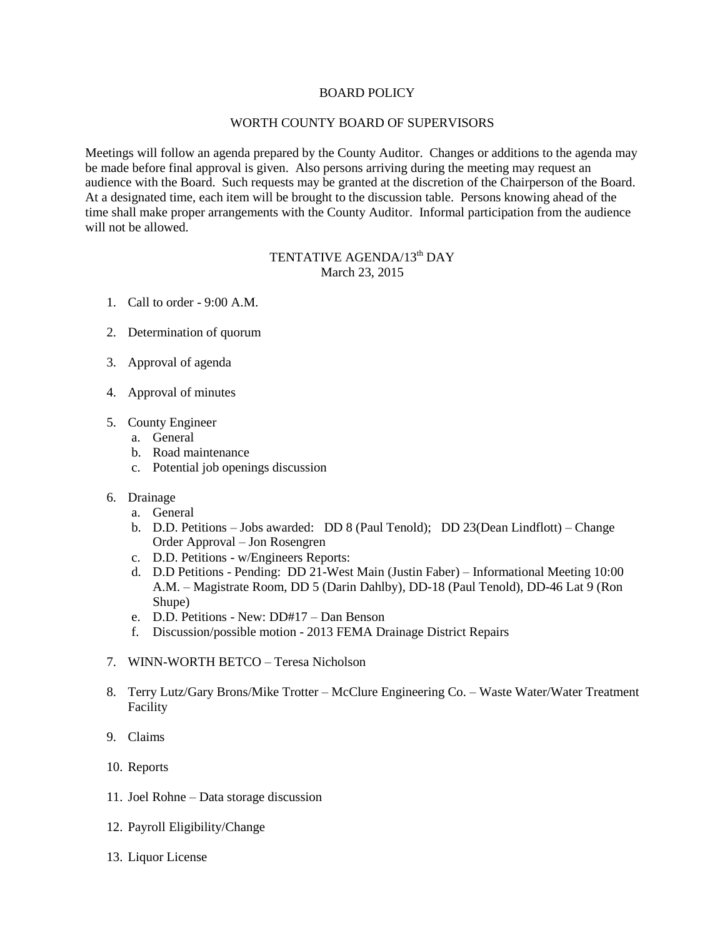## BOARD POLICY

## WORTH COUNTY BOARD OF SUPERVISORS

Meetings will follow an agenda prepared by the County Auditor. Changes or additions to the agenda may be made before final approval is given. Also persons arriving during the meeting may request an audience with the Board. Such requests may be granted at the discretion of the Chairperson of the Board. At a designated time, each item will be brought to the discussion table. Persons knowing ahead of the time shall make proper arrangements with the County Auditor. Informal participation from the audience will not be allowed.

## TENTATIVE AGENDA/13<sup>th</sup> DAY March 23, 2015

- 1. Call to order 9:00 A.M.
- 2. Determination of quorum
- 3. Approval of agenda
- 4. Approval of minutes
- 5. County Engineer
	- a. General
	- b. Road maintenance
	- c. Potential job openings discussion
- 6. Drainage
	- a. General
	- b. D.D. Petitions Jobs awarded: DD 8 (Paul Tenold); DD 23(Dean Lindflott) Change Order Approval – Jon Rosengren
	- c. D.D. Petitions w/Engineers Reports:
	- d. D.D Petitions Pending: DD 21-West Main (Justin Faber) Informational Meeting 10:00 A.M. – Magistrate Room, DD 5 (Darin Dahlby), DD-18 (Paul Tenold), DD-46 Lat 9 (Ron Shupe)
	- e. D.D. Petitions New: DD#17 Dan Benson
	- f. Discussion/possible motion 2013 FEMA Drainage District Repairs
- 7. WINN-WORTH BETCO Teresa Nicholson
- 8. Terry Lutz/Gary Brons/Mike Trotter McClure Engineering Co. Waste Water/Water Treatment Facility
- 9. Claims
- 10. Reports
- 11. Joel Rohne Data storage discussion
- 12. Payroll Eligibility/Change
- 13. Liquor License